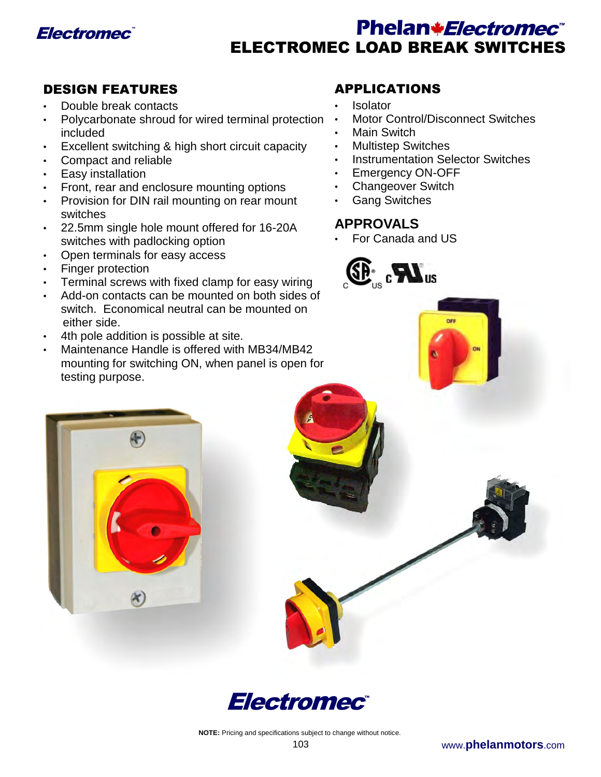

# Electromec<sup>®</sup> **Reserves Electromec<sup>®</sup> Phelan\****Electromec***®** ELECTROMEC LOAD BREAK SWITCHES

# DESIGN FEATURES

- Double break contacts
- Polycarbonate shroud for wired terminal protection included
- Excellent switching & high short circuit capacity
- Compact and reliable
- Easy installation
- Front, rear and enclosure mounting options
- Provision for DIN rail mounting on rear mount switches
- 22.5mm single hole mount offered for 16-20A switches with padlocking option
- Open terminals for easy access
- Finger protection
- Terminal screws with fixed clamp for easy wiring
- Add-on contacts can be mounted on both sides of switch. Economical neutral can be mounted on either side.
- 4th pole addition is possible at site.
- Maintenance Handle is offered with MB34/MB42 mounting for switching ON, when panel is open for testing purpose.

# APPLICATIONS

- Isolator
- Motor Control/Disconnect Switches
- Main Switch
- Multistep Switches
- Instrumentation Selector Switches
- Emergency ON-OFF
- Changeover Switch
- Gang Switches

# **APPROVALS**

• For Canada and US





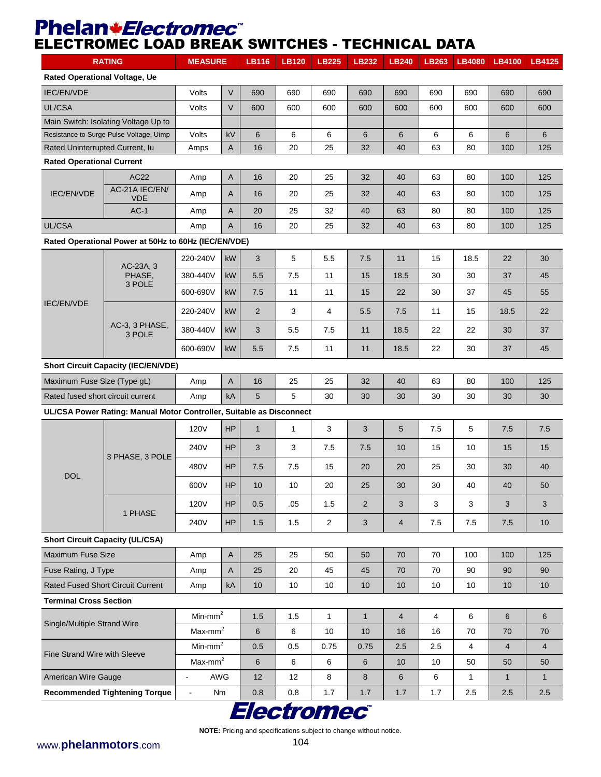# Phelan*\*Electromec*<sup>\*</sup> ELECTROMEC LOAD BREAK SWITCHES - TECHNICAL DATA

| <b>RATING</b>                                                        |                                                      | <b>MEASURE</b>       |              | <b>LB116</b>   | <b>LB120</b> | <b>LB225</b>   | <b>LB232</b> | <b>LB240</b>   | <b>LB263</b>   | <b>LB4080</b>  | LB4100         | LB4125         |
|----------------------------------------------------------------------|------------------------------------------------------|----------------------|--------------|----------------|--------------|----------------|--------------|----------------|----------------|----------------|----------------|----------------|
| <b>Rated Operational Voltage, Ue</b>                                 |                                                      |                      |              |                |              |                |              |                |                |                |                |                |
| <b>IEC/EN/VDE</b>                                                    |                                                      | Volts                | $\vee$       | 690            | 690          | 690            | 690          | 690            | 690            | 690            | 690            | 690            |
| UL/CSA                                                               |                                                      | Volts                | $\vee$       | 600            | 600          | 600            | 600          | 600            | 600            | 600            | 600            | 600            |
|                                                                      | Main Switch: Isolating Voltage Up to                 |                      |              |                |              |                |              |                |                |                |                |                |
|                                                                      | Resistance to Surge Pulse Voltage, Uimp              | Volts                | kV           | 6              | 6            | 6              | 6            | 6              | 6              | 6              | 6              | 6              |
| Rated Uninterrupted Current, lu                                      |                                                      | Amps                 | A            | 16             | 20           | 25             | 32           | 40             | 63             | 80             | 100            | 125            |
| <b>Rated Operational Current</b>                                     |                                                      |                      |              |                |              |                |              |                |                |                |                |                |
|                                                                      | AC22                                                 | Amp                  | A            | 16             | 20           | 25             | 32           | 40             | 63             | 80             | 100            | 125            |
| IEC/EN/VDE                                                           | AC-21A IEC/EN/<br><b>VDE</b>                         | Amp                  | A            | 16             | 20           | 25             | 32           | 40             | 63             | 80             | 100            | 125            |
|                                                                      | $AC-1$                                               | Amp                  | $\mathsf{A}$ | 20             | 25           | 32             | 40           | 63             | 80             | 80             | 100            | 125            |
| UL/CSA                                                               |                                                      | Amp                  | $\mathsf{A}$ | 16             | 20           | 25             | 32           | 40             | 63             | 80             | 100            | 125            |
|                                                                      | Rated Operational Power at 50Hz to 60Hz (IEC/EN/VDE) |                      |              |                |              |                |              |                |                |                |                |                |
|                                                                      | AC-23A, 3                                            | 220-240V             | kW           | 3              | 5            | 5.5            | 7.5          | 11             | 15             | 18.5           | 22             | 30             |
|                                                                      | PHASE,                                               | 380-440V             | kW           | 5.5            | 7.5          | 11             | 15           | 18.5           | 30             | 30             | 37             | 45             |
|                                                                      | 3 POLE                                               | 600-690V             | kW           | 7.5            | 11           | 11             | 15           | 22             | 30             | 37             | 45             | 55             |
| <b>IEC/EN/VDE</b>                                                    |                                                      | 220-240V             | <b>kW</b>    | $\overline{2}$ | 3            | 4              | 5.5          | 7.5            | 11             | 15             | 18.5           | 22             |
|                                                                      | AC-3, 3 PHASE,<br>3 POLE                             | 380-440V             | kW           | 3              | 5.5          | 7.5            | 11           | 18.5           | 22             | 22             | 30             | 37             |
|                                                                      |                                                      | 600-690V             | kW           | 5.5            | 7.5          | 11             | 11           | 18.5           | 22             | 30             | 37             | 45             |
|                                                                      | <b>Short Circuit Capacity (IEC/EN/VDE)</b>           |                      |              |                |              |                |              |                |                |                |                |                |
| Maximum Fuse Size (Type gL)                                          |                                                      | Amp                  | A            | 16             | 25           | 25             | 32           | 40             | 63             | 80             | 100            | 125            |
| Rated fused short circuit current                                    |                                                      | Amp                  | kA           | 5              | 5            | 30             | 30           | 30             | 30             | 30             | 30             | 30             |
| UL/CSA Power Rating: Manual Motor Controller, Suitable as Disconnect |                                                      |                      |              |                |              |                |              |                |                |                |                |                |
|                                                                      |                                                      | 120V                 | <b>HP</b>    | $\mathbf{1}$   | $\mathbf{1}$ | 3              | 3            | 5              | 7.5            | 5              | 7.5            | 7.5            |
|                                                                      |                                                      | 240V                 | HP           | 3              | 3            | 7.5            | 7.5          | 10             | 15             | 10             | 15             | 15             |
|                                                                      | 3 PHASE, 3 POLE                                      | 480V                 | <b>HP</b>    | 7.5            | 7.5          | 15             | 20           | 20             | 25             | 30             | 30             | 40             |
| <b>DOL</b>                                                           |                                                      | 600V                 | <b>HP</b>    | 10             | 10           | 20             | 25           | 30             | 30             | 40             | 40             | 50             |
|                                                                      | 1 PHASE                                              | 120V                 | HP           | 0.5            | .05          | 1.5            | 2            | 3              | 3              | 3              | 3              | 3              |
|                                                                      |                                                      | 240V                 | <b>HP</b>    | 1.5            | 1.5          | $\overline{2}$ | 3            | $\overline{4}$ | 7.5            | 7.5            | 7.5            | 10             |
|                                                                      | <b>Short Circuit Capacity (UL/CSA)</b>               |                      |              |                |              |                |              |                |                |                |                |                |
| Maximum Fuse Size                                                    |                                                      | Amp                  | $\mathsf{A}$ | 25             | 25           | 50             | 50           | 70             | 70             | 100            | 100            | 125            |
| Fuse Rating, J Type                                                  |                                                      | Amp                  | A            | 25             | 20           | 45             | 45           | 70             | 70             | 90             | 90             | 90             |
| Rated Fused Short Circuit Current                                    |                                                      | Amp                  | kA           | 10             | 10           | 10             | 10           | 10             | 10             | 10             | 10             | 10             |
| <b>Terminal Cross Section</b>                                        |                                                      |                      |              |                |              |                |              |                |                |                |                |                |
| Single/Multiple Strand Wire                                          |                                                      | $\textsf{Min-mm}^2$  |              | 1.5            | 1.5          | $\mathbf{1}$   | $\mathbf{1}$ | $\overline{4}$ | $\overline{4}$ | 6              | 6              | 6              |
|                                                                      |                                                      | $Max-mm2$            |              | $\,6\,$        | 6            | 10             | 10           | 16             | 16             | 70             | 70             | 70             |
| Fine Strand Wire with Sleeve                                         |                                                      | $Min-mm2$            |              | 0.5            | 0.5          | 0.75           | 0.75         | 2.5            | 2.5            | $\overline{4}$ | $\overline{4}$ | $\overline{4}$ |
|                                                                      |                                                      | $Max-mm2$            |              | 6              | 6            | 6              | $\,6$        | 10             | 10             | 50             | 50             | 50             |
| American Wire Gauge                                                  |                                                      | <b>AWG</b>           |              | 12             | 12           | 8              | 8            | 6              | 6              | $\mathbf{1}$   | $\mathbf{1}$   | $\mathbf{1}$   |
|                                                                      | <b>Recommended Tightening Torque</b>                 | Nm<br>$\blacksquare$ |              | 0.8            | 0.8          | 1.7            | 1.7          | 1.7            | 1.7            | 2.5            | 2.5            | 2.5            |

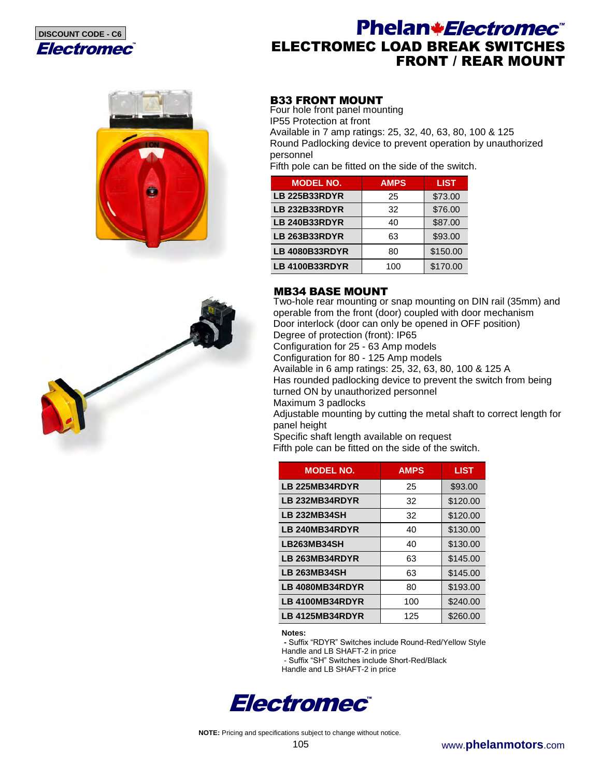

# Phelan*\*Electromec*<sup>\*</sup> ELECTROMEC LOAD BREAK SWITCHES FRONT / REAR MOUNT





## B33 FRONT MOUNT

Four hole front panel mounting IP55 Protection at front Available in 7 amp ratings: 25, 32, 40, 63, 80, 100 & 125 Round Padlocking device to prevent operation by unauthorized personnel

Fifth pole can be fitted on the side of the switch.

| <b>MODEL NO.</b>      | <b>AMPS</b> | <b>LIST</b> |
|-----------------------|-------------|-------------|
| <b>LB 225B33RDYR</b>  | 25          | \$73.00     |
| <b>LB 232B33RDYR</b>  | 32          | \$76.00     |
| <b>LB 240B33RDYR</b>  | 40          | \$87.00     |
| <b>LB 263B33RDYR</b>  | 63          | \$93.00     |
| <b>LB 4080B33RDYR</b> | 80          | \$150.00    |
| <b>LB 4100B33RDYR</b> | 100         | \$170.00    |

## MB34 BASE MOUNT

Two-hole rear mounting or snap mounting on DIN rail (35mm) and operable from the front (door) coupled with door mechanism Door interlock (door can only be opened in OFF position) Degree of protection (front): IP65 Configuration for 25 - 63 Amp models

Configuration for 80 - 125 Amp models

Available in 6 amp ratings: 25, 32, 63, 80, 100 & 125 A Has rounded padlocking device to prevent the switch from being turned ON by unauthorized personnel

Maximum 3 padlocks

Adjustable mounting by cutting the metal shaft to correct length for panel height

Specific shaft length available on request

Fifth pole can be fitted on the side of the switch.

| <b>MODEL NO.</b>    | <b>AMPS</b> | <b>LIST</b> |
|---------------------|-------------|-------------|
| LB 225MB34RDYR      | 25          | \$93.00     |
| LB 232MB34RDYR      | 32          | \$120.00    |
| <b>LB 232MB34SH</b> | 32          | \$120.00    |
| LB 240MB34RDYR      | 40          | \$130.00    |
| LB263MB34SH         | 40          | \$130.00    |
| LB 263MB34RDYR      | 63          | \$145.00    |
| <b>LB 263MB34SH</b> | 63          | \$145.00    |
| LB 4080MB34RDYR     | 80          | \$193.00    |
| LB 4100MB34RDYR     | 100         | \$240.00    |
| LB 4125MB34RDYR     | 125         | \$260.00    |

**Notes:** 

 **-** Suffix "RDYR" Switches include Round-Red/Yellow Style

Handle and LB SHAFT-2 in price

- Suffix "SH" Switches include Short-Red/Black

Handle and LB SHAFT-2 in price

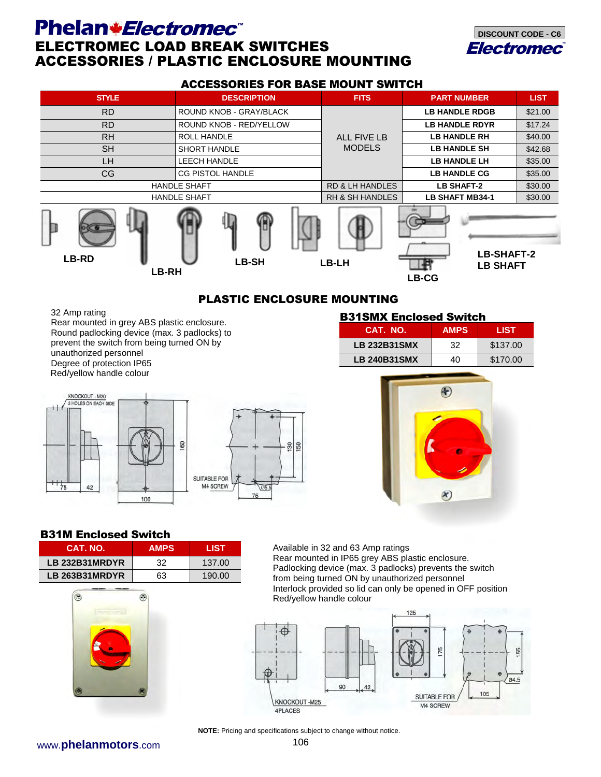# Phelan*\*Electromec*<sup>\*</sup> ELECTROMEC LOAD BREAK SWITCHES ACCESSORIES / PLASTIC ENCLOSURE MOUNTING



#### ACCESSORIES FOR BASE MOUNT SWITCH

| <b>STYLE</b>                 | <b>DESCRIPTION</b>      | <b>FITS</b>                | <b>PART NUMBER</b>                            | <b>LIST</b> |
|------------------------------|-------------------------|----------------------------|-----------------------------------------------|-------------|
| <b>RD</b>                    | ROUND KNOB - GRAY/BLACK |                            | <b>LB HANDLE RDGB</b>                         | \$21.00     |
| <b>RD</b>                    | ROUND KNOB - RED/YELLOW | <b>ALL FIVE LB</b>         | <b>LB HANDLE RDYR</b>                         | \$17.24     |
| <b>RH</b>                    | <b>ROLL HANDLE</b>      |                            | <b>LB HANDLE RH</b>                           | \$40.00     |
| <b>SH</b>                    | <b>SHORT HANDLE</b>     | <b>MODELS</b>              | <b>LB HANDLE SH</b>                           | \$42.68     |
| LH.                          | <b>LEECH HANDLE</b>     |                            | <b>LB HANDLE LH</b>                           | \$35.00     |
| <b>CG</b>                    | <b>CG PISTOL HANDLE</b> |                            | <b>LB HANDLE CG</b>                           | \$35.00     |
|                              | <b>HANDLE SHAFT</b>     | <b>RD &amp; LH HANDLES</b> | <b>LB SHAFT-2</b>                             | \$30.00     |
|                              | <b>HANDLE SHAFT</b>     | <b>RH &amp; SH HANDLES</b> | <b>LB SHAFT MB34-1</b>                        | \$30.00     |
| <b>LB-RD</b><br><b>LB-RH</b> | <b>LB-SH</b>            | LB-LH                      | LB-SHAFT-2<br><b>LB SHAFT</b><br><b>LB-CG</b> |             |

## PLASTIC ENCLOSURE MOUNTING

75

32 Amp rating Rear mounted in grey ABS plastic enclosure. Round padlocking device (max. 3 padlocks) to prevent the switch from being turned ON by unauthorized personnel Degree of protection IP65 Red/yellow handle colour KNOCKOUT - M20 2 HOLES ON EACH SIDE 60 90 150 SUITABLE FOR  $42$ M4 SCREW  $75$ 

## B31SMX Enclosed Switch

| CAT. NO.            | <b>AMPS</b> | LIST     |
|---------------------|-------------|----------|
| <b>LB 232B31SMX</b> | 32          | \$137.00 |
| <b>LB 240B31SMX</b> | 40          | \$170.00 |



## B31M Enclosed Switch

| CAT. NO.       | <b>AMPS</b> | LIST   |
|----------------|-------------|--------|
| LB 232B31MRDYR | 32          | 137.00 |
| LB 263B31MRDYR | 63          | 190.00 |

100



Available in 32 and 63 Amp ratings Rear mounted in IP65 grey ABS plastic enclosure. Padlocking device (max. 3 padlocks) prevents the switch from being turned ON by unauthorized personnel Interlock provided so lid can only be opened in OFF position Red/yellow handle colour



**NOTE:** Pricing and specifications subject to change without notice.

www.**phelanmotors**.com 106